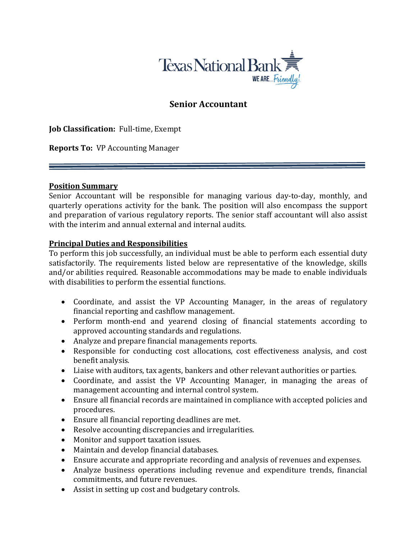

# Senior Accountant

Job Classification: Full-time, Exempt

Reports To: VP Accounting Manager

#### Position Summary

Senior Accountant will be responsible for managing various day-to-day, monthly, and quarterly operations activity for the bank. The position will also encompass the support and preparation of various regulatory reports. The senior staff accountant will also assist with the interim and annual external and internal audits.

#### Principal Duties and Responsibilities

To perform this job successfully, an individual must be able to perform each essential duty satisfactorily. The requirements listed below are representative of the knowledge, skills and/or abilities required. Reasonable accommodations may be made to enable individuals with disabilities to perform the essential functions.

- Coordinate, and assist the VP Accounting Manager, in the areas of regulatory financial reporting and cashflow management.
- Perform month-end and yearend closing of financial statements according to approved accounting standards and regulations.
- Analyze and prepare financial managements reports.
- Responsible for conducting cost allocations, cost effectiveness analysis, and cost benefit analysis.
- Liaise with auditors, tax agents, bankers and other relevant authorities or parties.
- Coordinate, and assist the VP Accounting Manager, in managing the areas of management accounting and internal control system.
- Ensure all financial records are maintained in compliance with accepted policies and procedures.
- Ensure all financial reporting deadlines are met.
- Resolve accounting discrepancies and irregularities.
- Monitor and support taxation issues.
- Maintain and develop financial databases.
- Ensure accurate and appropriate recording and analysis of revenues and expenses.
- Analyze business operations including revenue and expenditure trends, financial commitments, and future revenues.
- Assist in setting up cost and budgetary controls.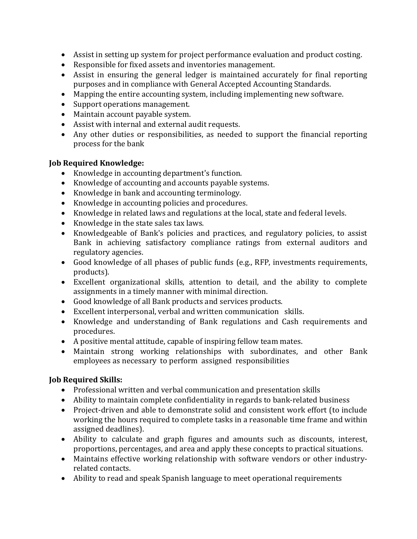- Assist in setting up system for project performance evaluation and product costing.
- Responsible for fixed assets and inventories management.
- Assist in ensuring the general ledger is maintained accurately for final reporting purposes and in compliance with General Accepted Accounting Standards.
- Mapping the entire accounting system, including implementing new software.
- Support operations management.
- Maintain account payable system.
- Assist with internal and external audit requests.
- Any other duties or responsibilities, as needed to support the financial reporting process for the bank

#### Job Required Knowledge:

- Knowledge in accounting department's function.
- Knowledge of accounting and accounts payable systems.
- Knowledge in bank and accounting terminology.
- Knowledge in accounting policies and procedures.
- Knowledge in related laws and regulations at the local, state and federal levels.
- Knowledge in the state sales tax laws.
- Knowledgeable of Bank's policies and practices, and regulatory policies, to assist Bank in achieving satisfactory compliance ratings from external auditors and regulatory agencies.
- Good knowledge of all phases of public funds (e.g., RFP, investments requirements, products).
- Excellent organizational skills, attention to detail, and the ability to complete assignments in a timely manner with minimal direction.
- Good knowledge of all Bank products and services products.
- Excellent interpersonal, verbal and written communication skills.
- Knowledge and understanding of Bank regulations and Cash requirements and procedures.
- A positive mental attitude, capable of inspiring fellow team mates.
- Maintain strong working relationships with subordinates, and other Bank employees as necessary to perform assigned responsibilities

# Job Required Skills:

- Professional written and verbal communication and presentation skills
- Ability to maintain complete confidentiality in regards to bank-related business
- Project-driven and able to demonstrate solid and consistent work effort (to include working the hours required to complete tasks in a reasonable time frame and within assigned deadlines).
- Ability to calculate and graph figures and amounts such as discounts, interest, proportions, percentages, and area and apply these concepts to practical situations.
- Maintains effective working relationship with software vendors or other industryrelated contacts.
- Ability to read and speak Spanish language to meet operational requirements